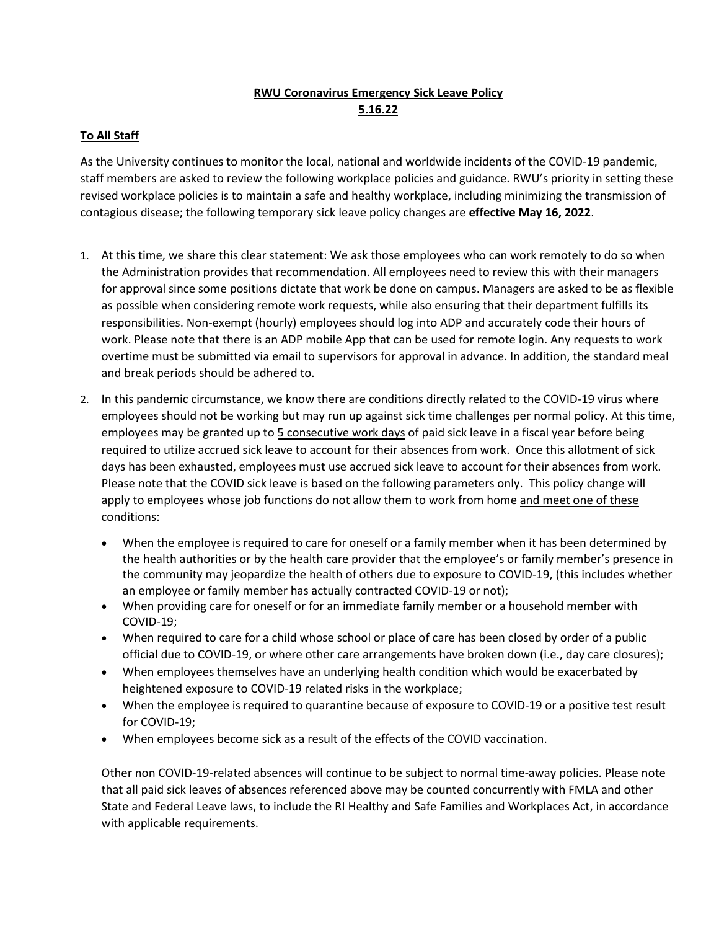## **RWU Coronavirus Emergency Sick Leave Policy 5.16.22**

## **To All Staff**

As the University continues to monitor the local, national and worldwide incidents of the COVID-19 pandemic, staff members are asked to review the following workplace policies and guidance. RWU's priority in setting these revised workplace policies is to maintain a safe and healthy workplace, including minimizing the transmission of contagious disease; the following temporary sick leave policy changes are **effective May 16, 2022**.

- 1. At this time, we share this clear statement: We ask those employees who can work remotely to do so when the Administration provides that recommendation. All employees need to review this with their managers for approval since some positions dictate that work be done on campus. Managers are asked to be as flexible as possible when considering remote work requests, while also ensuring that their department fulfills its responsibilities. Non-exempt (hourly) employees should log into ADP and accurately code their hours of work. Please note that there is an ADP mobile App that can be used for remote login. Any requests to work overtime must be submitted via email to supervisors for approval in advance. In addition, the standard meal and break periods should be adhered to.
- 2. In this pandemic circumstance, we know there are conditions directly related to the COVID-19 virus where employees should not be working but may run up against sick time challenges per normal policy. At this time, employees may be granted up to 5 consecutive work days of paid sick leave in a fiscal year before being required to utilize accrued sick leave to account for their absences from work. Once this allotment of sick days has been exhausted, employees must use accrued sick leave to account for their absences from work. Please note that the COVID sick leave is based on the following parameters only. This policy change will apply to employees whose job functions do not allow them to work from home and meet one of these conditions:
	- When the employee is required to care for oneself or a family member when it has been determined by the health authorities or by the health care provider that the employee's or family member's presence in the community may jeopardize the health of others due to exposure to COVID-19, (this includes whether an employee or family member has actually contracted COVID-19 or not);
	- When providing care for oneself or for an immediate family member or a household member with COVID-19;
	- When required to care for a child whose school or place of care has been closed by order of a public official due to COVID-19, or where other care arrangements have broken down (i.e., day care closures);
	- When employees themselves have an underlying health condition which would be exacerbated by heightened exposure to COVID-19 related risks in the workplace;
	- When the employee is required to quarantine because of exposure to COVID-19 or a positive test result for COVID-19;
	- When employees become sick as a result of the effects of the COVID vaccination.

Other non COVID-19-related absences will continue to be subject to normal time-away policies. Please note that all paid sick leaves of absences referenced above may be counted concurrently with FMLA and other State and Federal Leave laws, to include the RI Healthy and Safe Families and Workplaces Act, in accordance with applicable requirements.